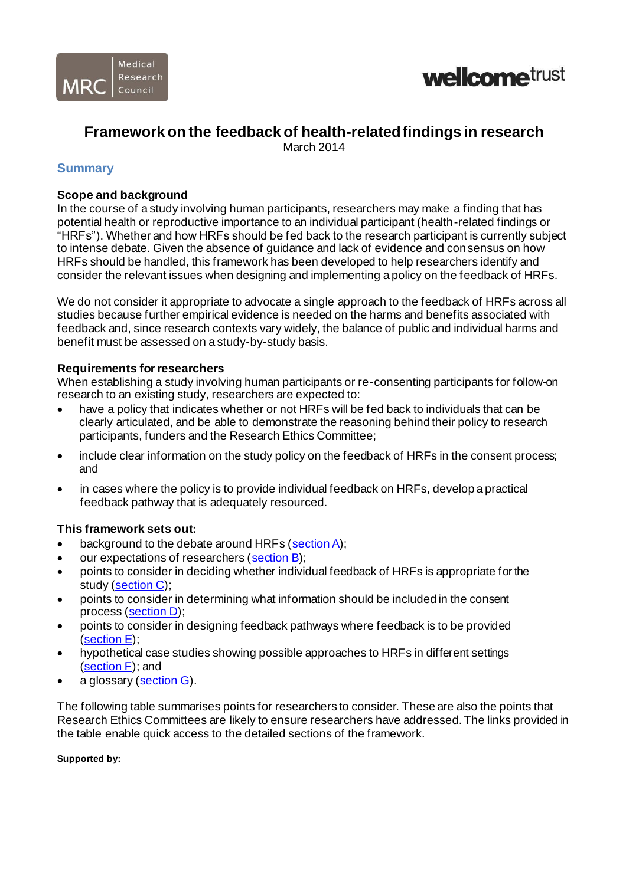



# **Framework on the feedback of health-related findings in research**

March 2014

### **Summary**

#### **Scope and background**

In the course of a study involving human participants, researchers may make a finding that has potential health or reproductive importance to an individual participant (health-related findings or "HRFs"). Whether and how HRFs should be fed back to the research participant is currently subject to intense debate. Given the absence of guidance and lack of evidence and consensus on how HRFs should be handled, this framework has been developed to help researchers identify and consider the relevant issues when designing and implementing a policy on the feedback of HRFs.

We do not consider it appropriate to advocate a single approach to the feedback of HRFs across all studies because further empirical evidence is needed on the harms and benefits associated with feedback and, since research contexts vary widely, the balance of public and individual harms and benefit must be assessed on a study-by-study basis.

#### **Requirements for researchers**

When establishing a study involving human participants or re-consenting participants for follow-on research to an existing study, researchers are expected to:

- have a policy that indicates whether or not HRFs will be fed back to individuals that can be clearly articulated, and be able to demonstrate the reasoning behind their policy to research participants, funders and the Research Ethics Committee;
- include clear information on the study policy on the feedback of HRFs in the consent process; and
- in cases where the policy is to provide individual feedback on HRFs, develop a practical feedback pathway that is adequately resourced.

#### **This framework sets out:**

- background to the debate around HRFs (section A);
- our expectations of researchers [\(section](#page-4-0) B);
- points to consider in deciding whether individual feedback of HRFs is appropriate for the study [\(section](#page-5-0) C);
- points to consider in determining what information should be included in the consent process [\(section](#page-7-0) D);
- points to consider in designing feedback pathways where feedback is to be provided [\(section](#page-8-0) E);
- hypothetical case studies showing possible approaches to HRFs in different settings [\(section F\)](#page-9-0); and
- a glossary [\(section](#page-11-0) G).

The following table summarises points for researchers to consider. These are also the points that Research Ethics Committees are likely to ensure researchers have addressed. The links provided in the table enable quick access to the detailed sections of the framework.

#### **Supported by:**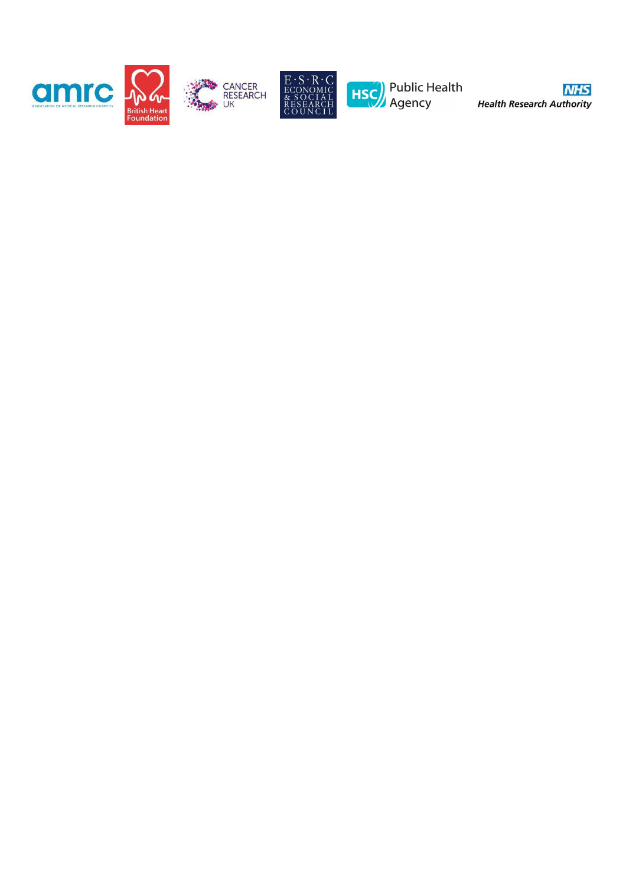





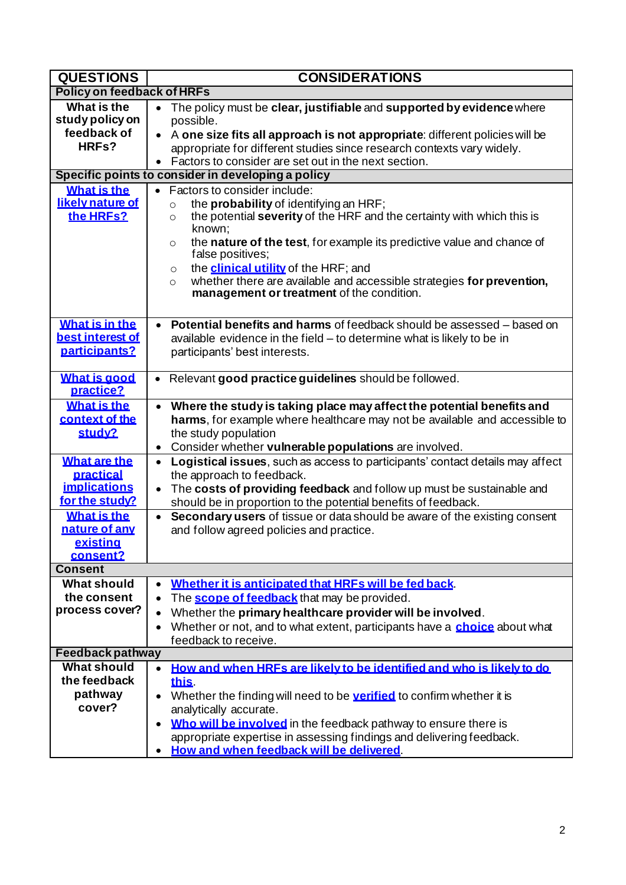| <b>QUESTIONS</b>                                                                                              | <b>CONSIDERATIONS</b>                                                                                                                                                                                                                                                                                                                                                                                                                                                                                                                                             |
|---------------------------------------------------------------------------------------------------------------|-------------------------------------------------------------------------------------------------------------------------------------------------------------------------------------------------------------------------------------------------------------------------------------------------------------------------------------------------------------------------------------------------------------------------------------------------------------------------------------------------------------------------------------------------------------------|
| <b>Policy on feedback of HRFs</b>                                                                             |                                                                                                                                                                                                                                                                                                                                                                                                                                                                                                                                                                   |
| What is the<br>study policy on<br>feedback of<br>HRFs?<br><b>What is the</b><br>likely nature of<br>the HRFs? | The policy must be clear, justifiable and supported by evidence where<br>$\bullet$<br>possible.<br>• A one size fits all approach is not appropriate: different policies will be<br>appropriate for different studies since research contexts vary widely.<br>• Factors to consider are set out in the next section.<br>Specific points to consider in developing a policy<br>Factors to consider include:<br>$\bullet$<br>the probability of identifying an HRF;<br>$\circ$<br>the potential severity of the HRF and the certainty with which this is<br>$\circ$ |
|                                                                                                               | known;<br>the nature of the test, for example its predictive value and chance of<br>$\circ$<br>false positives;<br>the <b>clinical utility</b> of the HRF; and<br>$\circ$<br>whether there are available and accessible strategies for prevention,<br>$\circ$<br>management or treatment of the condition.                                                                                                                                                                                                                                                        |
| What is in the<br>best interest of<br>participants?                                                           | Potential benefits and harms of feedback should be assessed - based on<br>$\bullet$<br>available evidence in the field - to determine what is likely to be in<br>participants' best interests.                                                                                                                                                                                                                                                                                                                                                                    |
| <b>What is good</b><br>practice?                                                                              | Relevant good practice guidelines should be followed.<br>$\bullet$                                                                                                                                                                                                                                                                                                                                                                                                                                                                                                |
| <b>What is the</b><br>context of the<br>study?                                                                | Where the study is taking place may affect the potential benefits and<br>$\bullet$<br>harms, for example where healthcare may not be available and accessible to<br>the study population<br>Consider whether vulnerable populations are involved.<br>$\bullet$                                                                                                                                                                                                                                                                                                    |
| <b>What are the</b><br>practical<br><b>implications</b><br>for the study?                                     | Logistical issues, such as access to participants' contact details may affect<br>$\bullet$<br>the approach to feedback.<br>The costs of providing feedback and follow up must be sustainable and<br>$\bullet$<br>should be in proportion to the potential benefits of feedback.                                                                                                                                                                                                                                                                                   |
| <b>What is the</b><br>nature of any<br><u>existing</u><br>consent?                                            | Secondary users of tissue or data should be aware of the existing consent<br>$\bullet$<br>and follow agreed policies and practice.                                                                                                                                                                                                                                                                                                                                                                                                                                |
| <b>Consent</b>                                                                                                |                                                                                                                                                                                                                                                                                                                                                                                                                                                                                                                                                                   |
| What should<br>the consent<br>process cover?<br><b>Feedback pathway</b>                                       | Whether it is anticipated that HRFs will be fed back.<br>$\bullet$<br>The <b>scope of feedback</b> that may be provided.<br>$\bullet$<br>Whether the primary healthcare provider will be involved.<br>$\bullet$<br>Whether or not, and to what extent, participants have a choice about what<br>$\bullet$<br>feedback to receive.                                                                                                                                                                                                                                 |
| <b>What should</b>                                                                                            | How and when HRFs are likely to be identified and who is likely to do<br>$\bullet$                                                                                                                                                                                                                                                                                                                                                                                                                                                                                |
| the feedback<br>pathway<br>cover?                                                                             | this.<br>Whether the finding will need to be <b>verified</b> to confirm whether it is<br>$\bullet$<br>analytically accurate.<br>Who will be involved in the feedback pathway to ensure there is                                                                                                                                                                                                                                                                                                                                                                   |
|                                                                                                               | appropriate expertise in assessing findings and delivering feedback.<br>How and when feedback will be delivered.                                                                                                                                                                                                                                                                                                                                                                                                                                                  |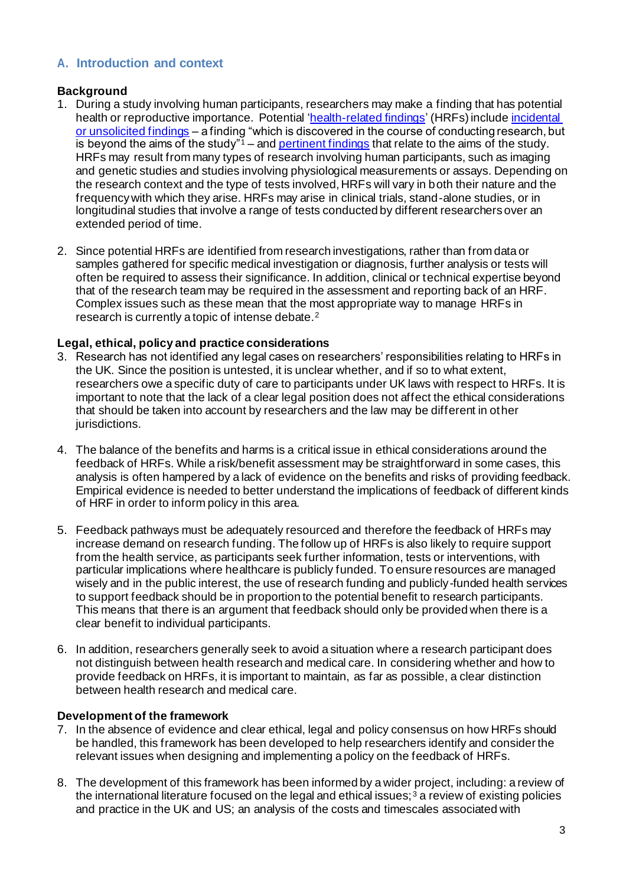# <span id="page-3-0"></span>**A. Introduction and context**

# **Background**

- 1. During a study involving human participants, researchers may make a finding that has potential health or reproductive importance. Potentia[l 'health-related findings'](#page-11-2) (HRFs) include [incidental](#page-11-3) [or unsolicited findings](#page-11-3) – a finding "which is discovered in the course of conducting research, but is beyond the aims of the study" $1$  – and [pertinent findings](#page-11-4) that relate to the aims of the study. HRFs may result from many types of research involving human participants, such as imaging and genetic studies and studies involving physiological measurements or assays. Depending on the research context and the type of tests involved, HRFs will vary in both their nature and the frequency with which they arise. HRFs may arise in clinical trials, stand-alone studies, or in longitudinal studies that involve a range of tests conducted by different researchers over an extended period of time.
- 2. Since potential HRFs are identified from research investigations, rather than from data or samples gathered for specific medical investigation or diagnosis, further analysis or tests will often be required to assess their significance. In addition, clinical or technical expertise beyond that of the research team may be required in the assessment and reporting back of an HRF. Complex issues such as these mean that the most appropriate way to manage HRFs in research is currently a topic of intense debate.<sup>2</sup>

# **Legal, ethical, policy and practice considerations**

- 3. Research has not identified any legal cases on researchers' responsibilities relating to HRFs in the UK. Since the position is untested, it is unclear whether, and if so to what extent, researchers owe a specific duty of care to participants under UK laws with respect to HRFs. It is important to note that the lack of a clear legal position does not affect the ethical considerations that should be taken into account by researchers and the law may be different in other jurisdictions.
- 4. The balance of the benefits and harms is a critical issue in ethical considerations around the feedback of HRFs. While a risk/benefit assessment may be straightforward in some cases, this analysis is often hampered by a lack of evidence on the benefits and risks of providing feedback. Empirical evidence is needed to better understand the implications of feedback of different kinds of HRF in order to inform policy in this area.
- 5. Feedback pathways must be adequately resourced and therefore the feedback of HRFs may increase demand on research funding. The follow up of HRFs is also likely to require support from the health service, as participants seek further information, tests or interventions, with particular implications where healthcare is publicly funded. To ensure resources are managed wisely and in the public interest, the use of research funding and publicly-funded health services to support feedback should be in proportion to the potential benefit to research participants. This means that there is an argument that feedback should only be provided when there is a clear benefit to individual participants.
- 6. In addition, researchers generally seek to avoid a situation where a research participant does not distinguish between health research and medical care. In considering whether and how to provide feedback on HRFs, it is important to maintain, as far as possible, a clear distinction between health research and medical care.

# **Development of the framework**

- 7. In the absence of evidence and clear ethical, legal and policy consensus on how HRFs should be handled, this framework has been developed to help researchers identify and consider the relevant issues when designing and implementing a policy on the feedback of HRFs.
- 8. The development of this framework has been informed by a wider project, including: a review of the international literature focused on the legal and ethical issues;  $3$  a review of existing policies and practice in the UK and US; an analysis of the costs and timescales associated with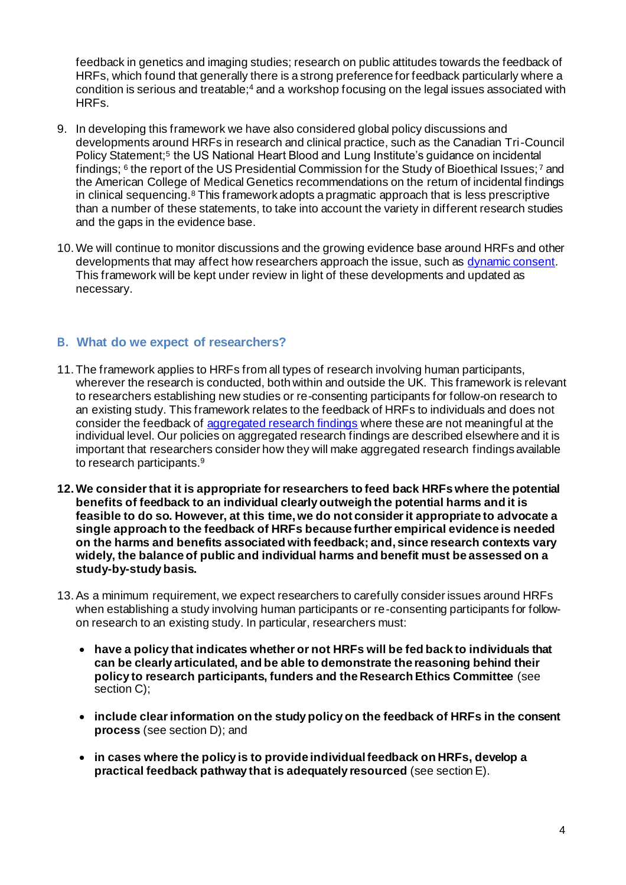feedback in genetics and imaging studies; research on public attitudes towards the feedback of HRFs, which found that generally there is a strong preference for feedback particularly where a condition is serious and treatable;<sup>4</sup> and a workshop focusing on the legal issues associated with HRFs.

- 9. In developing this framework we have also considered global policy discussions and developments around HRFs in research and clinical practice, such as the Canadian Tri-Council Policy Statement;<sup>5</sup> the US National Heart Blood and Lung Institute's guidance on incidental findings;  $^6$  the report of the US Presidential Commission for the Study of Bioethical Issues;  $^7$  and the American College of Medical Genetics recommendations on the return of incidental findings in clinical sequencing.<sup>8</sup> This framework adopts a pragmatic approach that is less prescriptive than a number of these statements, to take into account the variety in different research studies and the gaps in the evidence base.
- 10.We will continue to monitor discussions and the growing evidence base around HRFs and other developments that may affect how researchers approach the issue, such as [dynamic consent.](#page-11-5) This framework will be kept under review in light of these developments and updated as necessary.

### <span id="page-4-0"></span>**B. What do we expect of researchers?**

- 11. The framework applies to HRFs from all types of research involving human participants, wherever the research is conducted, both within and outside the UK. This framework is relevant to researchers establishing new studies or re-consenting participants for follow-on research to an existing study. This framework relates to the feedback of HRFs to individuals and does not consider the feedback of [aggregated research findings](#page-11-6) where these are not meaningful at the individual level. Our policies on aggregated research findings are described elsewhere and it is important that researchers consider how they will make aggregated research findings available to research participants.<sup>9</sup>
- **12.We consider that it is appropriate for researchers to feed back HRFs where the potential benefits of feedback to an individual clearly outweigh the potential harms and it is feasible to do so. However, at this time, we do not consider it appropriate to advocate a single approach to the feedback of HRFs because further empirical evidence is needed on the harms and benefits associated with feedback; and, since research contexts vary widely, the balance of public and individual harms and benefit must be assessed on a study-by-study basis.**
- 13.As a minimum requirement, we expect researchers to carefully consider issues around HRFs when establishing a study involving human participants or re-consenting participants for followon research to an existing study. In particular, researchers must:
	- **have a policy that indicates whether or not HRFs will be fed back to individuals that can be clearly articulated, and be able to demonstrate the reasoning behind their policy to research participants, funders and the Research Ethics Committee** (see section C);
	- **include clear information on the study policy on the feedback of HRFs in the consent process** (see section D); and
	- **in cases where the policy is to provide individual feedback on HRFs, develop a practical feedback pathway that is adequately resourced** (see section E).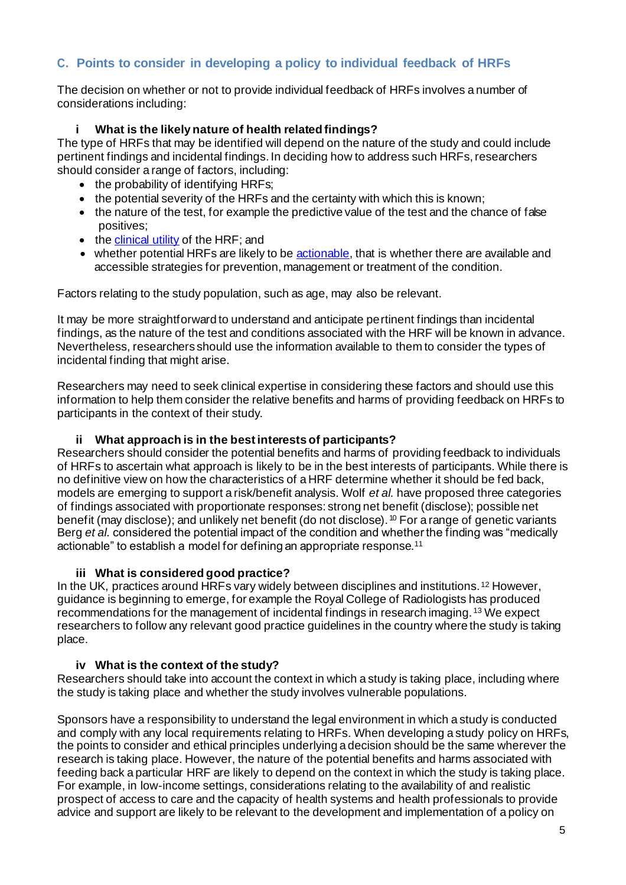# <span id="page-5-0"></span>**C. Points to consider in developing a policy to individual feedback of HRFs**

The decision on whether or not to provide individual feedback of HRFs involves a number of considerations including:

#### <span id="page-5-1"></span>**i What is the likely nature of health related findings?**

The type of HRFs that may be identified will depend on the nature of the study and could include pertinent findings and incidental findings. In deciding how to address such HRFs, researchers should consider a range of factors, including:

- the probability of identifying HRFs;
- the potential severity of the HRFs and the certainty with which this is known:
- the nature of the test, for example the predictive value of the test and the chance of false positives;
- the [clinical utility](#page-11-1) of the HRF; and
- whether potential HRFs are likely to be [actionable,](#page-11-7) that is whether there are available and accessible strategies for prevention, management or treatment of the condition.

Factors relating to the study population, such as age, may also be relevant.

It may be more straightforward to understand and anticipate pertinent findings than incidental findings, as the nature of the test and conditions associated with the HRF will be known in advance. Nevertheless, researchers should use the information available to them to consider the types of incidental finding that might arise.

Researchers may need to seek clinical expertise in considering these factors and should use this information to help them consider the relative benefits and harms of providing feedback on HRFs to participants in the context of their study.

#### **ii What approach is in the best interests of participants?**

<span id="page-5-2"></span>Researchers should consider the potential benefits and harms of providing feedback to individuals of HRFs to ascertain what approach is likely to be in the best interests of participants. While there is no definitive view on how the characteristics of a HRF determine whether it should be fed back, models are emerging to support a risk/benefit analysis. Wolf *et al.* have proposed three categories of findings associated with proportionate responses: strong net benefit (disclose); possible net benefit (may disclose); and unlikely net benefit (do not disclose). <sup>10</sup> For a range of genetic variants Berg *et al.* considered the potential impact of the condition and whether the finding was "medically actionable" to establish a model for defining an appropriate response.<sup>11</sup>

#### **iii What is considered good practice?**

<span id="page-5-3"></span>In the UK, practices around HRFs vary widely between disciplines and institutions. <sup>12</sup> However, guidance is beginning to emerge, for example the Royal College of Radiologists has produced recommendations for the management of incidental findings in research imaging. <sup>13</sup> We expect researchers to follow any relevant good practice guidelines in the country where the study is taking place.

#### **iv What is the context of the study?**

<span id="page-5-4"></span>Researchers should take into account the context in which a study is taking place, including where the study is taking place and whether the study involves vulnerable populations.

Sponsors have a responsibility to understand the legal environment in which a study is conducted and comply with any local requirements relating to HRFs. When developing a study policy on HRFs, the points to consider and ethical principles underlying a decision should be the same wherever the research is taking place. However, the nature of the potential benefits and harms associated with feeding back a particular HRF are likely to depend on the context in which the study is taking place. For example, in low-income settings, considerations relating to the availability of and realistic prospect of access to care and the capacity of health systems and health professionals to provide advice and support are likely to be relevant to the development and implementation of a policy on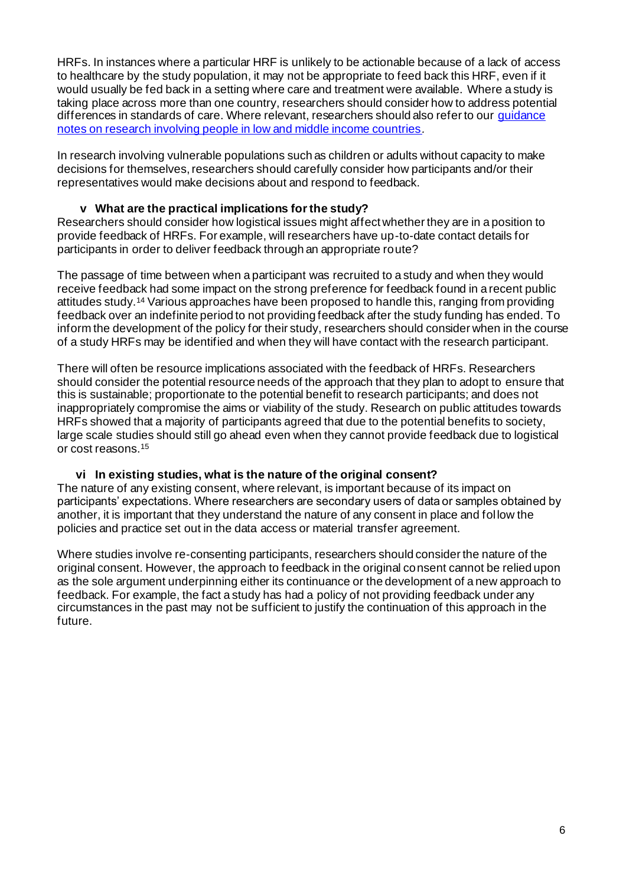HRFs. In instances where a particular HRF is unlikely to be actionable because of a lack of access to healthcare by the study population, it may not be appropriate to feed back this HRF, even if it would usually be fed back in a setting where care and treatment were available. Where a study is taking place across more than one country, researchers should consider how to address potential differences in standards of care. Where relevant, researchers should also refer to ou[r guidance](http://www.wellcome.ac.uk/About-us/Policy/Policy-and-position-statements/WTD015295.htm) [notes on research involving people in low and middle income countries](http://www.wellcome.ac.uk/About-us/Policy/Policy-and-position-statements/WTD015295.htm)*.*

In research involving vulnerable populations such as children or adults without capacity to make decisions for themselves, researchers should carefully consider how participants and/or their representatives would make decisions about and respond to feedback.

### **v What are the practical implications for the study?**

<span id="page-6-0"></span>Researchers should consider how logistical issues might affect whether they are in a position to provide feedback of HRFs. For example, will researchers have up-to-date contact details for participants in order to deliver feedback through an appropriate route?

The passage of time between when a participant was recruited to a study and when they would receive feedback had some impact on the strong preference for feedback found in a recent public attitudes study.<sup>14</sup> Various approaches have been proposed to handle this, ranging from providing feedback over an indefinite period to not providing feedback after the study funding has ended. To inform the development of the policy for their study, researchers should consider when in the course of a study HRFs may be identified and when they will have contact with the research participant.

There will often be resource implications associated with the feedback of HRFs. Researchers should consider the potential resource needs of the approach that they plan to adopt to ensure that this is sustainable; proportionate to the potential benefit to research participants; and does not inappropriately compromise the aims or viability of the study. Research on public attitudes towards HRFs showed that a majority of participants agreed that due to the potential benefits to society, large scale studies should still go ahead even when they cannot provide feedback due to logistical or cost reasons.<sup>15</sup>

#### **vi In existing studies, what is the nature of the original consent?**

<span id="page-6-1"></span>The nature of any existing consent, where relevant, is important because of its impact on participants' expectations. Where researchers are secondary users of data or samples obtained by another, it is important that they understand the nature of any consent in place and follow the policies and practice set out in the data access or material transfer agreement.

Where studies involve re-consenting participants, researchers should consider the nature of the original consent. However, the approach to feedback in the original consent cannot be relied upon as the sole argument underpinning either its continuance or the development of a new approach to feedback. For example, the fact a study has had a policy of not providing feedback under any circumstances in the past may not be sufficient to justify the continuation of this approach in the future.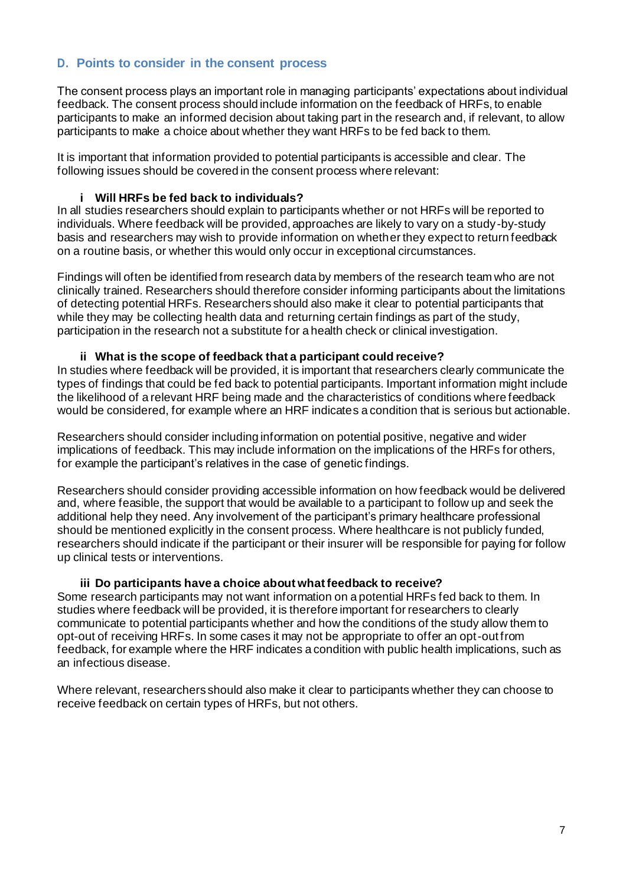# <span id="page-7-0"></span>**D. Points to consider in the consent process**

The consent process plays an important role in managing participants' expectations about individual feedback. The consent process should include information on the feedback of HRFs, to enable participants to make an informed decision about taking part in the research and, if relevant, to allow participants to make a choice about whether they want HRFs to be fed back to them.

It is important that information provided to potential participants is accessible and clear. The following issues should be covered in the consent process where relevant:

#### **i Will HRFs be fed back to individuals?**

<span id="page-7-1"></span>In all studies researchers should explain to participants whether or not HRFs will be reported to individuals. Where feedback will be provided, approaches are likely to vary on a study-by-study basis and researchers may wish to provide information on whether they expect to return feedback on a routine basis, or whether this would only occur in exceptional circumstances.

Findings will often be identified from research data by members of the research team who are not clinically trained. Researchers should therefore consider informing participants about the limitations of detecting potential HRFs. Researchers should also make it clear to potential participants that while they may be collecting health data and returning certain findings as part of the study, participation in the research not a substitute for a health check or clinical investigation.

#### **ii What is the scope of feedback that a participant could receive?**

<span id="page-7-2"></span>In studies where feedback will be provided, it is important that researchers clearly communicate the types of findings that could be fed back to potential participants. Important information might include the likelihood of a relevant HRF being made and the characteristics of conditions where feedback would be considered, for example where an HRF indicates a condition that is serious but actionable.

Researchers should consider including information on potential positive, negative and wider implications of feedback. This may include information on the implications of the HRFs for others, for example the participant's relatives in the case of genetic findings.

Researchers should consider providing accessible information on how feedback would be delivered and, where feasible, the support that would be available to a participant to follow up and seek the additional help they need. Any involvement of the participant's primary healthcare professional should be mentioned explicitly in the consent process. Where healthcare is not publicly funded, researchers should indicate if the participant or their insurer will be responsible for paying for follow up clinical tests or interventions.

#### **iii Do participants have a choice about what feedback to receive?**

<span id="page-7-3"></span>Some research participants may not want information on a potential HRFs fed back to them. In studies where feedback will be provided, it is therefore important for researchers to clearly communicate to potential participants whether and how the conditions of the study allow them to opt-out of receiving HRFs. In some cases it may not be appropriate to offer an opt-out from feedback, for example where the HRF indicates a condition with public health implications, such as an infectious disease.

Where relevant, researchers should also make it clear to participants whether they can choose to receive feedback on certain types of HRFs, but not others.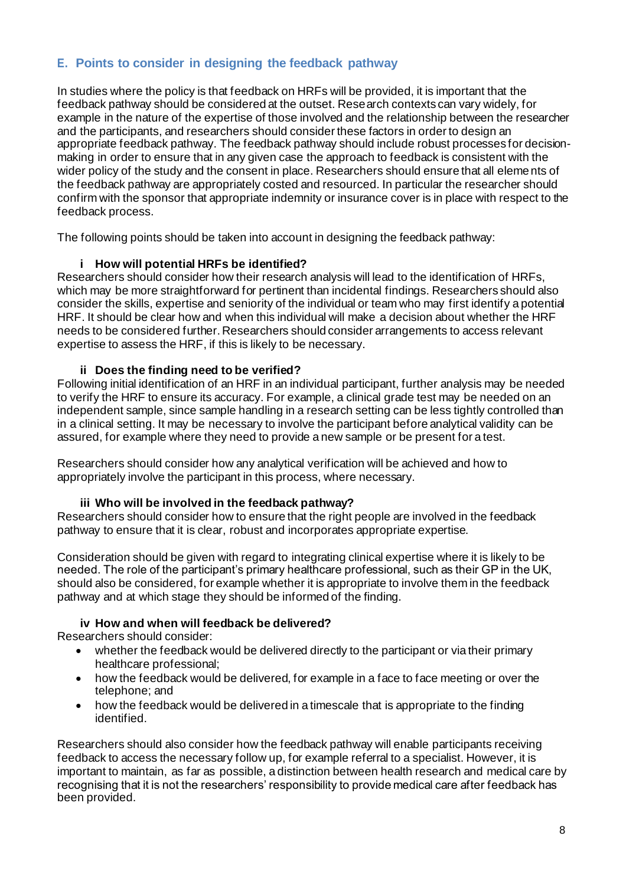# <span id="page-8-0"></span>**E. Points to consider in designing the feedback pathway**

In studies where the policy is that feedback on HRFs will be provided, it is important that the feedback pathway should be considered at the outset. Research contexts can vary widely, for example in the nature of the expertise of those involved and the relationship between the researcher and the participants, and researchers should consider these factors in order to design an appropriate feedback pathway. The feedback pathway should include robust processes for decisionmaking in order to ensure that in any given case the approach to feedback is consistent with the wider policy of the study and the consent in place. Researchers should ensure that all elements of the feedback pathway are appropriately costed and resourced. In particular the researcher should confirm with the sponsor that appropriate indemnity or insurance cover is in place with respect to the feedback process.

The following points should be taken into account in designing the feedback pathway:

# **i How will potential HRFs be identified?**

<span id="page-8-1"></span>Researchers should consider how their research analysis will lead to the identification of HRFs, which may be more straightforward for pertinent than incidental findings. Researchers should also consider the skills, expertise and seniority of the individual or team who may first identify a potential HRF. It should be clear how and when this individual will make a decision about whether the HRF needs to be considered further. Researchers should consider arrangements to access relevant expertise to assess the HRF, if this is likely to be necessary.

#### **ii Does the finding need to be verified?**

<span id="page-8-2"></span>Following initial identification of an HRF in an individual participant, further analysis may be needed to verify the HRF to ensure its accuracy. For example, a clinical grade test may be needed on an independent sample, since sample handling in a research setting can be less tightly controlled than in a clinical setting. It may be necessary to involve the participant before analytical validity can be assured, for example where they need to provide a new sample or be present for a test.

Researchers should consider how any analytical verification will be achieved and how to appropriately involve the participant in this process, where necessary.

#### **iii Who will be involved in the feedback pathway?**

<span id="page-8-3"></span>Researchers should consider how to ensure that the right people are involved in the feedback pathway to ensure that it is clear, robust and incorporates appropriate expertise.

Consideration should be given with regard to integrating clinical expertise where it is likely to be needed. The role of the participant's primary healthcare professional, such as their GP in the UK, should also be considered, for example whether it is appropriate to involve them in the feedback pathway and at which stage they should be informed of the finding.

#### **iv How and when will feedback be delivered?**

<span id="page-8-4"></span>Researchers should consider:

- whether the feedback would be delivered directly to the participant or via their primary healthcare professional;
- how the feedback would be delivered, for example in a face to face meeting or over the telephone; and
- how the feedback would be delivered in a timescale that is appropriate to the finding identified.

Researchers should also consider how the feedback pathway will enable participants receiving feedback to access the necessary follow up, for example referral to a specialist. However, it is important to maintain, as far as possible, a distinction between health research and medical care by recognising that it is not the researchers' responsibility to provide medical care after feedback has been provided.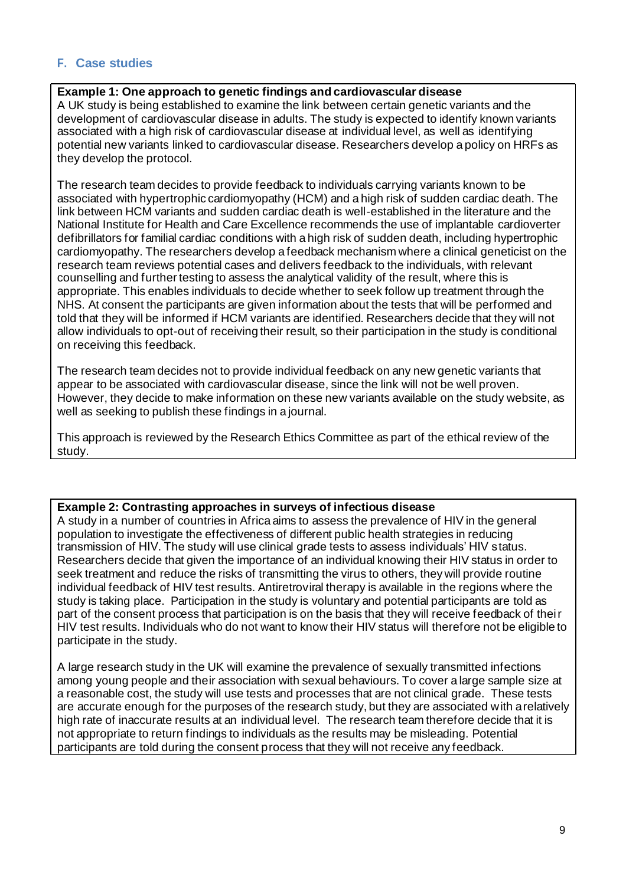# <span id="page-9-0"></span>**F. Case studies**

#### **Example 1: One approach to genetic findings and cardiovascular disease**

A UK study is being established to examine the link between certain genetic variants and the development of cardiovascular disease in adults. The study is expected to identify known variants associated with a high risk of cardiovascular disease at individual level, as well as identifying potential new variants linked to cardiovascular disease. Researchers develop a policy on HRFs as they develop the protocol.

The research team decides to provide feedback to individuals carrying variants known to be associated with hypertrophic cardiomyopathy (HCM) and a high risk of sudden cardiac death. The link between HCM variants and sudden cardiac death is well-established in the literature and the National Institute for Health and Care Excellence recommends the use of implantable cardioverter defibrillators for familial cardiac conditions with a high risk of sudden death, including hypertrophic cardiomyopathy. The researchers develop a feedback mechanism where a clinical geneticist on the research team reviews potential cases and delivers feedback to the individuals, with relevant counselling and further testing to assess the analytical validity of the result, where this is appropriate. This enables individuals to decide whether to seek follow up treatment through the NHS. At consent the participants are given information about the tests that will be performed and told that they will be informed if HCM variants are identified. Researchers decide that they will not allow individuals to opt-out of receiving their result, so their participation in the study is conditional on receiving this feedback.

The research team decides not to provide individual feedback on any new genetic variants that appear to be associated with cardiovascular disease, since the link will not be well proven. However, they decide to make information on these new variants available on the study website, as well as seeking to publish these findings in a journal.

This approach is reviewed by the Research Ethics Committee as part of the ethical review of the study.

#### **Example 2: Contrasting approaches in surveys of infectious disease**

A study in a number of countries in Africa aims to assess the prevalence of HIV in the general population to investigate the effectiveness of different public health strategies in reducing transmission of HIV. The study will use clinical grade tests to assess individuals' HIV status. Researchers decide that given the importance of an individual knowing their HIV status in order to seek treatment and reduce the risks of transmitting the virus to others, they will provide routine individual feedback of HIV test results. Antiretroviral therapy is available in the regions where the study is taking place. Participation in the study is voluntary and potential participants are told as part of the consent process that participation is on the basis that they will receive feedback of their HIV test results. Individuals who do not want to know their HIV status will therefore not be eligible to participate in the study.

A large research study in the UK will examine the prevalence of sexually transmitted infections among young people and their association with sexual behaviours. To cover a large sample size at a reasonable cost, the study will use tests and processes that are not clinical grade. These tests are accurate enough for the purposes of the research study, but they are associated with arelatively high rate of inaccurate results at an individual level. The research team therefore decide that it is not appropriate to return findings to individuals as the results may be misleading. Potential participants are told during the consent process that they will not receive any feedback.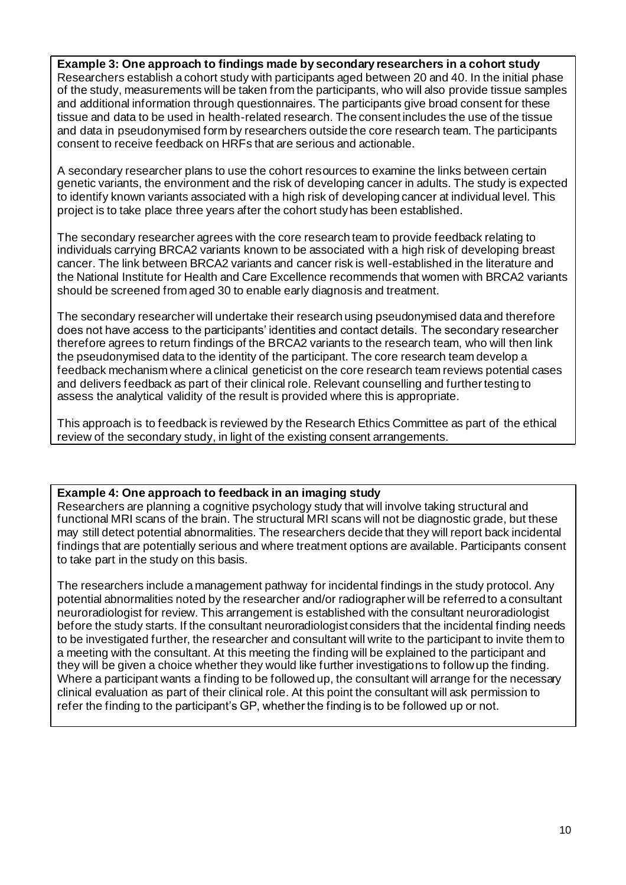#### **Example 3: One approach to findings made by secondary researchers in a cohort study**

Researchers establish a cohort study with participants aged between 20 and 40. In the initial phase of the study, measurements will be taken from the participants, who will also provide tissue samples and additional information through questionnaires. The participants give broad consent for these tissue and data to be used in health-related research. The consent includes the use of the tissue and data in pseudonymised form by researchers outside the core research team. The participants consent to receive feedback on HRFs that are serious and actionable.

A secondary researcher plans to use the cohort resources to examine the links between certain genetic variants, the environment and the risk of developing cancer in adults. The study is expected to identify known variants associated with a high risk of developing cancer at individual level. This project is to take place three years after the cohort study has been established.

The secondary researcher agrees with the core research team to provide feedback relating to individuals carrying BRCA2 variants known to be associated with a high risk of developing breast cancer. The link between BRCA2 variants and cancer risk is well-established in the literature and the National Institute for Health and Care Excellence recommends that women with BRCA2 variants should be screened from aged 30 to enable early diagnosis and treatment.

The secondary researcher will undertake their research using pseudonymised data and therefore does not have access to the participants' identities and contact details. The secondary researcher therefore agrees to return findings of the BRCA2 variants to the research team, who will then link the pseudonymised data to the identity of the participant. The core research team develop a feedback mechanism where a clinical geneticist on the core research team reviews potential cases and delivers feedback as part of their clinical role. Relevant counselling and further testing to assess the analytical validity of the result is provided where this is appropriate.

This approach is to feedback is reviewed by the Research Ethics Committee as part of the ethical review of the secondary study, in light of the existing consent arrangements.

#### **Example 4: One approach to feedback in an imaging study**

Researchers are planning a cognitive psychology study that will involve taking structural and functional MRI scans of the brain. The structural MRI scans will not be diagnostic grade, but these may still detect potential abnormalities. The researchers decide that they will report back incidental findings that are potentially serious and where treatment options are available. Participants consent to take part in the study on this basis.

The researchers include a management pathway for incidental findings in the study protocol. Any potential abnormalities noted by the researcher and/or radiographer will be referred to a consultant neuroradiologist for review. This arrangement is established with the consultant neuroradiologist before the study starts. If the consultant neuroradiologist considers that the incidental finding needs to be investigated further, the researcher and consultant will write to the participant to invite them to a meeting with the consultant. At this meeting the finding will be explained to the participant and they will be given a choice whether they would like further investigations to follow up the finding. Where a participant wants a finding to be followed up, the consultant will arrange for the necessary clinical evaluation as part of their clinical role. At this point the consultant will ask permission to refer the finding to the participant's GP, whether the finding is to be followed up or not.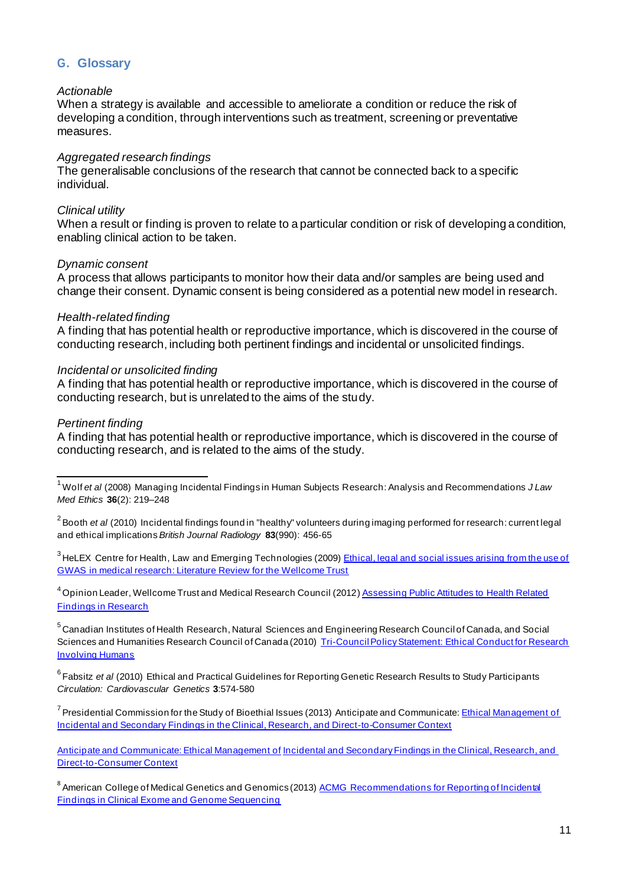# <span id="page-11-0"></span>**G. Glossary**

#### <span id="page-11-7"></span>*Actionable*

When a strategy is available and accessible to ameliorate a condition or reduce the risk of developing a condition, through interventions such as treatment, screening or preventative measures.

#### <span id="page-11-6"></span>*Aggregated research findings*

The generalisable conclusions of the research that cannot be connected back to a specific individual.

#### <span id="page-11-1"></span>*Clinical utility*

When a result or finding is proven to relate to a particular condition or risk of developing a condition, enabling clinical action to be taken.

#### <span id="page-11-5"></span>*Dynamic consent*

A process that allows participants to monitor how their data and/or samples are being used and change their consent. Dynamic consent is being considered as a potential new model in research.

#### <span id="page-11-2"></span>*Health-related finding*

A finding that has potential health or reproductive importance, which is discovered in the course of conducting research, including both pertinent findings and incidental or unsolicited findings.

#### <span id="page-11-3"></span>*Incidental or unsolicited finding*

A finding that has potential health or reproductive importance, which is discovered in the course of conducting research, but is unrelated to the aims of the study.

#### <span id="page-11-4"></span>*Pertinent finding*

A finding that has potential health or reproductive importance, which is discovered in the course of conducting research, and is related to the aims of the study.

<sup>3</sup> HeLEX Centre for Health, Law and Emerging Technologies (2009) [Ethical, legal and social issues arising](https://wellcome.ac.uk/sites/default/files/wtx058032.pdf) from the use of [GWAS in medical research: Literature Review for the Wellcome Trust](https://wellcome.ac.uk/sites/default/files/wtx058032.pdf)

<sup>4</sup> Opinion Leader, Wellcome Trust and Medical Research Council (2012[\) Assessing Public Attitudes to Health Related](http://www.wellcome.ac.uk/About-us/Publications/Reports/Public-engagement/WTVM055197.htm) [Findings in Research](http://www.wellcome.ac.uk/About-us/Publications/Reports/Public-engagement/WTVM055197.htm)

<sup>5</sup>Canadian Institutes of Health Research, Natural Sciences and Engineering Research Council of Canada, and Social Sciences and Humanities Research Council of Canada (2010) [Tri-Council Policy Statement: Ethical Conduct for Research](http://www.pre.ethics.gc.ca/eng/policy-politique/initiatives/tcps2-eptc2/Default/) **[Involving Humans](http://www.pre.ethics.gc.ca/eng/policy-politique/initiatives/tcps2-eptc2/Default/)** 

<sup>6</sup> Fabsitz et al (2010) Ethical and Practical Guidelines for Reporting Genetic Research Results to Study Participants *Circulation: Cardiovascular Genetics* **3**:574-580

<sup>7</sup> Presidential Commission for the Study of Bioethial Issues (2013) Anticipate and Communicate: *Ethical Management of* [Incidental and Secondary Findings in the Clinical, Research, and Direct-to-Consumer Context](https://bioethicsarchive.georgetown.edu/pcsbi/node/3183.html)

[Anticipate and Communicate: Ethical Management of](http://bioethics.gov/node/3169) Incidental and Secondary Findings in the Clinical, Research, and [Direct-to-Consumer Context](http://bioethics.gov/node/3169)

<sup>8</sup> American College of Medical Genetics and Genomics (2013[\) ACMG Recommendations for Reporting of Incidental](http://www.acmg.net/docs/ACMG_Releases_Highly-Anticipated_Recommendations_on_Incidental_Findings_in_Clinical_Exome_and_Genome_Sequencing.pdf) [Findings in Clinical Exome and Genome Sequencing](http://www.acmg.net/docs/ACMG_Releases_Highly-Anticipated_Recommendations_on_Incidental_Findings_in_Clinical_Exome_and_Genome_Sequencing.pdf)

<sup>1</sup>Wolf *et al* (2008) Managing Incidental Findings in Human Subjects Research: Analysis and Recommendations *J Law Med Ethics* **36**(2): 219–248

<sup>&</sup>lt;sup>2</sup> Booth *et al (2010)* Incidental findings found in "healthy" volunteers during imaging performed for research: current legal and ethical implications *British Journal Radiology* **83**(990): 456-65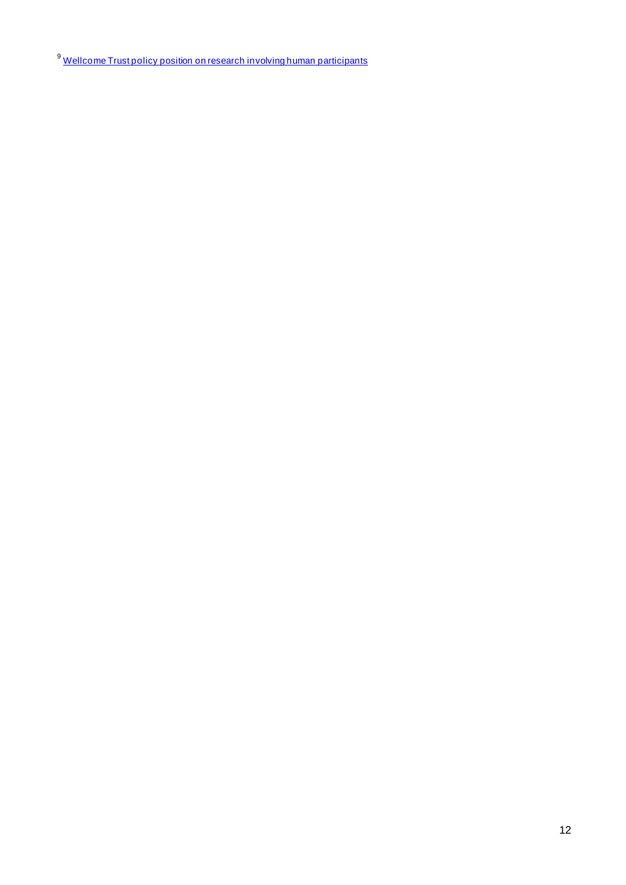<sup>9</sup> [Wellcome Trust policy position on research involving human participants](http://www.wellcome.ac.uk/About-us/Policy/Policy-and-position-statements/WTP052064.htm)